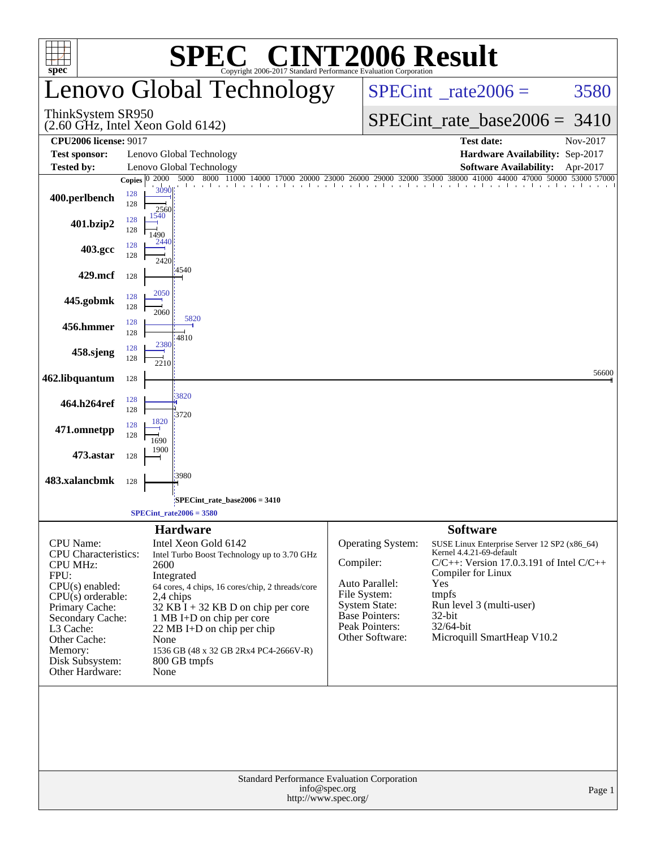| $spec^*$                                                                                                                                                                                                                            |                                |                                   | <b>C® CINT2006 Result</b><br>SPE<br>Copyright 2006-2017 Standard Performance Evaluation Corporation                                                                                                                                                                                                                  |                                          |                                                                                                                                                               |                                                              |                                                                                                                                                                                                        |          |        |
|-------------------------------------------------------------------------------------------------------------------------------------------------------------------------------------------------------------------------------------|--------------------------------|-----------------------------------|----------------------------------------------------------------------------------------------------------------------------------------------------------------------------------------------------------------------------------------------------------------------------------------------------------------------|------------------------------------------|---------------------------------------------------------------------------------------------------------------------------------------------------------------|--------------------------------------------------------------|--------------------------------------------------------------------------------------------------------------------------------------------------------------------------------------------------------|----------|--------|
|                                                                                                                                                                                                                                     |                                |                                   | Lenovo Global Technology                                                                                                                                                                                                                                                                                             | $SPECint^{\circ}$ <sub>_rate2006</sub> = |                                                                                                                                                               |                                                              |                                                                                                                                                                                                        | 3580     |        |
| ThinkSystem SR950<br>$(2.60$ GHz, Intel Xeon Gold $6142)$                                                                                                                                                                           |                                |                                   |                                                                                                                                                                                                                                                                                                                      |                                          |                                                                                                                                                               | $SPECint_rate_base2006 = 3410$                               |                                                                                                                                                                                                        |          |        |
| <b>CPU2006 license: 9017</b>                                                                                                                                                                                                        |                                |                                   |                                                                                                                                                                                                                                                                                                                      |                                          |                                                                                                                                                               |                                                              | <b>Test date:</b>                                                                                                                                                                                      | Nov-2017 |        |
| <b>Test sponsor:</b>                                                                                                                                                                                                                |                                |                                   | Lenovo Global Technology                                                                                                                                                                                                                                                                                             |                                          |                                                                                                                                                               |                                                              | Hardware Availability: Sep-2017                                                                                                                                                                        |          |        |
| Tested by:                                                                                                                                                                                                                          |                                |                                   | Lenovo Global Technology                                                                                                                                                                                                                                                                                             |                                          |                                                                                                                                                               |                                                              | <b>Software Availability:</b>                                                                                                                                                                          | Apr-2017 |        |
| 400.perlbench                                                                                                                                                                                                                       | Copies $ 0 2000$<br>128<br>128 | 3090<br>2560<br>1540              | 5000 8000 11000 14000 17000<br>The contract the contract the contract the contract the contract the contract theories                                                                                                                                                                                                | 23000<br>20000                           |                                                                                                                                                               |                                                              | 26000 29000 32000 35000 38000 41000 44000 47000 50000 53000 57000                                                                                                                                      |          |        |
| 401.bzip2                                                                                                                                                                                                                           | 128<br>128                     | 1490<br>2440                      |                                                                                                                                                                                                                                                                                                                      |                                          |                                                                                                                                                               |                                                              |                                                                                                                                                                                                        |          |        |
| 403.gcc                                                                                                                                                                                                                             | 128<br>128                     | 2420                              |                                                                                                                                                                                                                                                                                                                      |                                          |                                                                                                                                                               |                                                              |                                                                                                                                                                                                        |          |        |
| 429.mcf                                                                                                                                                                                                                             | 128                            | 2050                              | 4540                                                                                                                                                                                                                                                                                                                 |                                          |                                                                                                                                                               |                                                              |                                                                                                                                                                                                        |          |        |
| 445.gobmk                                                                                                                                                                                                                           | 128<br>128                     | 2060                              | 5820                                                                                                                                                                                                                                                                                                                 |                                          |                                                                                                                                                               |                                                              |                                                                                                                                                                                                        |          |        |
| 456.hmmer                                                                                                                                                                                                                           | 128<br>128                     | 2380                              | 4810                                                                                                                                                                                                                                                                                                                 |                                          |                                                                                                                                                               |                                                              |                                                                                                                                                                                                        |          |        |
| 458.sjeng                                                                                                                                                                                                                           | 128<br>128                     | 2210                              |                                                                                                                                                                                                                                                                                                                      |                                          |                                                                                                                                                               |                                                              |                                                                                                                                                                                                        |          |        |
| 462.libquantum                                                                                                                                                                                                                      | 128                            |                                   | 3820                                                                                                                                                                                                                                                                                                                 |                                          |                                                                                                                                                               |                                                              |                                                                                                                                                                                                        |          | 56600  |
| 464.h264ref                                                                                                                                                                                                                         | 128<br>128                     | 1820                              | 3720                                                                                                                                                                                                                                                                                                                 |                                          |                                                                                                                                                               |                                                              |                                                                                                                                                                                                        |          |        |
| 471.omnetpp                                                                                                                                                                                                                         | 128<br>128                     | 1690                              |                                                                                                                                                                                                                                                                                                                      |                                          |                                                                                                                                                               |                                                              |                                                                                                                                                                                                        |          |        |
| 473.astar                                                                                                                                                                                                                           | 128                            | 1900                              | 3980                                                                                                                                                                                                                                                                                                                 |                                          |                                                                                                                                                               |                                                              |                                                                                                                                                                                                        |          |        |
| 483.xalancbmk                                                                                                                                                                                                                       | 128                            |                                   |                                                                                                                                                                                                                                                                                                                      |                                          |                                                                                                                                                               |                                                              |                                                                                                                                                                                                        |          |        |
|                                                                                                                                                                                                                                     |                                |                                   | SPECint rate base $2006 = 3410$                                                                                                                                                                                                                                                                                      |                                          |                                                                                                                                                               |                                                              |                                                                                                                                                                                                        |          |        |
|                                                                                                                                                                                                                                     |                                |                                   | $SPECint_rate2006 = 3580$                                                                                                                                                                                                                                                                                            |                                          |                                                                                                                                                               |                                                              |                                                                                                                                                                                                        |          |        |
| CPU Name:<br><b>CPU</b> Characteristics:<br><b>CPU MHz:</b><br>FPU:<br>$CPU(s)$ enabled:<br>$CPU(s)$ orderable:<br>Primary Cache:<br>Secondary Cache:<br>L3 Cache:<br>Other Cache:<br>Memory:<br>Disk Subsystem:<br>Other Hardware: |                                | 2600<br>2,4 chips<br>None<br>None | <b>Hardware</b><br>Intel Xeon Gold 6142<br>Intel Turbo Boost Technology up to 3.70 GHz<br>Integrated<br>64 cores, 4 chips, 16 cores/chip, 2 threads/core<br>$32$ KB I + 32 KB D on chip per core<br>1 MB I+D on chip per core<br>22 MB I+D on chip per chip<br>1536 GB (48 x 32 GB 2Rx4 PC4-2666V-R)<br>800 GB tmpfs |                                          | <b>Operating System:</b><br>Compiler:<br>Auto Parallel:<br>File System:<br><b>System State:</b><br><b>Base Pointers:</b><br>Peak Pointers:<br>Other Software: | Compiler for Linux<br>Yes<br>tmpfs<br>$32$ -bit<br>32/64-bit | <b>Software</b><br>SUSE Linux Enterprise Server 12 SP2 (x86_64)<br>Kernel 4.4.21-69-default<br>$C/C++$ : Version 17.0.3.191 of Intel $C/C++$<br>Run level 3 (multi-user)<br>Microquill SmartHeap V10.2 |          |        |
|                                                                                                                                                                                                                                     |                                |                                   | Standard Performance Evaluation Corporation                                                                                                                                                                                                                                                                          | info@spec.org<br>http://www.spec.org/    |                                                                                                                                                               |                                                              |                                                                                                                                                                                                        |          | Page 1 |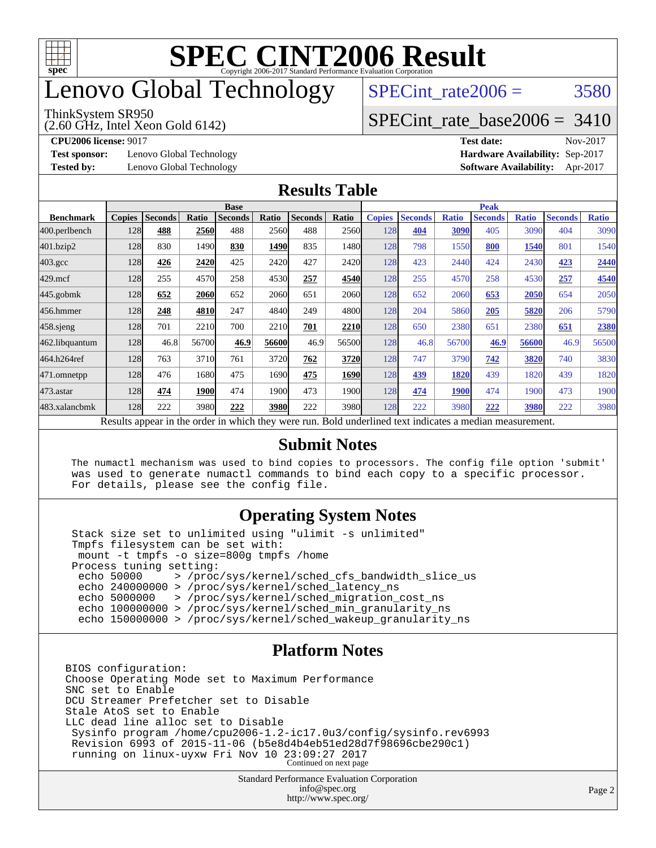

## enovo Global Technology

#### ThinkSystem SR950

(2.60 GHz, Intel Xeon Gold 6142)

SPECint rate $2006 = 3580$ 

#### [SPECint\\_rate\\_base2006 =](http://www.spec.org/auto/cpu2006/Docs/result-fields.html#SPECintratebase2006) 3410

**[CPU2006 license:](http://www.spec.org/auto/cpu2006/Docs/result-fields.html#CPU2006license)** 9017 **[Test date:](http://www.spec.org/auto/cpu2006/Docs/result-fields.html#Testdate)** Nov-2017

**[Test sponsor:](http://www.spec.org/auto/cpu2006/Docs/result-fields.html#Testsponsor)** Lenovo Global Technology **[Hardware Availability:](http://www.spec.org/auto/cpu2006/Docs/result-fields.html#HardwareAvailability)** Sep-2017

**[Tested by:](http://www.spec.org/auto/cpu2006/Docs/result-fields.html#Testedby)** Lenovo Global Technology **[Software Availability:](http://www.spec.org/auto/cpu2006/Docs/result-fields.html#SoftwareAvailability)** Apr-2017

#### **[Results Table](http://www.spec.org/auto/cpu2006/Docs/result-fields.html#ResultsTable)**

|                                                                                                                                                     | <b>Base</b>   |                |       |                |       |                |             | <b>Peak</b>   |                |              |                |              |                |              |
|-----------------------------------------------------------------------------------------------------------------------------------------------------|---------------|----------------|-------|----------------|-------|----------------|-------------|---------------|----------------|--------------|----------------|--------------|----------------|--------------|
| <b>Benchmark</b>                                                                                                                                    | <b>Copies</b> | <b>Seconds</b> | Ratio | <b>Seconds</b> | Ratio | <b>Seconds</b> | Ratio       | <b>Copies</b> | <b>Seconds</b> | <b>Ratio</b> | <b>Seconds</b> | <b>Ratio</b> | <b>Seconds</b> | <b>Ratio</b> |
| 400.perlbench                                                                                                                                       | 128           | 488            | 2560  | 488            | 2560  | 488            | 2560        | 128           | 404            | 3090         | 405            | 3090         | 404            | 3090         |
| 401.bzip2                                                                                                                                           | 128           | 830            | 1490  | 830            | 1490  | 835            | 1480        | 128           | 798            | 1550         | 800            | 1540         | 801            | 1540         |
| $403.\text{gcc}$                                                                                                                                    | 128           | 426            | 2420  | 425            | 2420  | 427            | 2420        | 128           | 423            | 2440         | 424            | 2430         | 423            | 2440         |
| $429$ .mcf                                                                                                                                          | 128           | 255            | 4570  | 258            | 4530  | 257            | 4540        | 128           | 255            | 4570         | 258            | 4530         | 257            | 4540         |
| $445$ .gobmk                                                                                                                                        | 128           | 652            | 2060  | 652            | 2060  | 651            | <b>2060</b> | 128           | 652            | 2060         | 653            | 2050         | 654            | 2050         |
| 456.hmmer                                                                                                                                           | 128           | 248            | 4810  | 247            | 4840  | 249            | 4800        | 128           | 204            | 5860         | 205            | 5820         | 206            | 5790         |
| 458 sjeng                                                                                                                                           | 128           | 701            | 2210  | 700            | 2210  | 701            | 2210        | 128           | 650            | 2380         | 651            | 2380         | 651            | 2380         |
| 462.libquantum                                                                                                                                      | 128           | 46.8           | 56700 | 46.9           | 56600 | 46.9           | 56500       | 128           | 46.8           | 56700        | 46.9           | 56600        | 46.9           | 56500        |
| 464.h264ref                                                                                                                                         | 128           | 763            | 3710  | 761            | 3720  | 762            | 3720        | 128           | 747            | 3790         | 742            | 3820         | 740            | 3830         |
| 471.omnetpp                                                                                                                                         | 128           | 476            | 1680  | 475            | 1690  | 475            | 1690        | 128           | 439            | 1820         | 439            | 1820         | 439            | 1820         |
| 473.astar                                                                                                                                           | 128           | 474            | 1900  | 474            | 1900  | 473            | 1900        | 128           | 474            | 1900         | 474            | 1900         | 473            | 1900         |
| 483.xalancbmk                                                                                                                                       | 128           | 222            | 3980  | 222            | 3980  | 222            | 3980        | 128           | 222            | 3980         | 222            | 3980         | 222            | 3980         |
| Danilla, ann an India<br>المولومين المستحدث والمتحالة المنافذ فالمتحدث<br>Deld and called to a family distant<br>المدف محالة مداما<br>$\sim$ $\sim$ |               |                |       |                |       |                |             |               |                |              |                |              |                |              |

Results appear in the [order in which they were run.](http://www.spec.org/auto/cpu2006/Docs/result-fields.html#RunOrder) Bold underlined text [indicates a median measurement.](http://www.spec.org/auto/cpu2006/Docs/result-fields.html#Median)

#### **[Submit Notes](http://www.spec.org/auto/cpu2006/Docs/result-fields.html#SubmitNotes)**

 The numactl mechanism was used to bind copies to processors. The config file option 'submit' was used to generate numactl commands to bind each copy to a specific processor. For details, please see the config file.

#### **[Operating System Notes](http://www.spec.org/auto/cpu2006/Docs/result-fields.html#OperatingSystemNotes)**

 Stack size set to unlimited using "ulimit -s unlimited" Tmpfs filesystem can be set with: mount -t tmpfs -o size=800g tmpfs /home Process tuning setting:<br>echo 50000 > /proc echo 50000 > /proc/sys/kernel/sched\_cfs\_bandwidth\_slice\_us echo 240000000 > /proc/sys/kernel/sched\_latency\_ns echo 5000000 > /proc/sys/kernel/sched\_migration\_cost\_ns echo 100000000 > /proc/sys/kernel/sched\_min\_granularity\_ns echo 150000000 > /proc/sys/kernel/sched\_wakeup\_granularity\_ns

#### **[Platform Notes](http://www.spec.org/auto/cpu2006/Docs/result-fields.html#PlatformNotes)**

BIOS configuration: Choose Operating Mode set to Maximum Performance SNC set to Enable DCU Streamer Prefetcher set to Disable Stale AtoS set to Enable LLC dead line alloc set to Disable Sysinfo program /home/cpu2006-1.2-ic17.0u3/config/sysinfo.rev6993 Revision 6993 of 2015-11-06 (b5e8d4b4eb51ed28d7f98696cbe290c1) running on linux-uyxw Fri Nov 10 23:09:27 2017 Continued on next page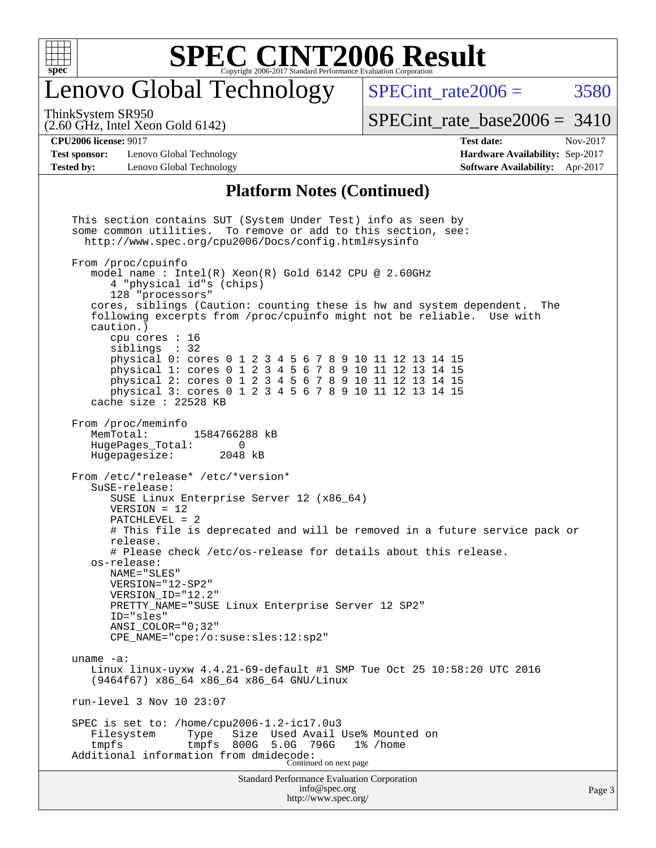

## enovo Global Technology

SPECint rate $2006 = 3580$ 

(2.60 GHz, Intel Xeon Gold 6142) ThinkSystem SR950

[SPECint\\_rate\\_base2006 =](http://www.spec.org/auto/cpu2006/Docs/result-fields.html#SPECintratebase2006) 3410

**[Test sponsor:](http://www.spec.org/auto/cpu2006/Docs/result-fields.html#Testsponsor)** Lenovo Global Technology **[Hardware Availability:](http://www.spec.org/auto/cpu2006/Docs/result-fields.html#HardwareAvailability)** Sep-2017 **[Tested by:](http://www.spec.org/auto/cpu2006/Docs/result-fields.html#Testedby)** Lenovo Global Technology **[Software Availability:](http://www.spec.org/auto/cpu2006/Docs/result-fields.html#SoftwareAvailability)** Apr-2017

**[CPU2006 license:](http://www.spec.org/auto/cpu2006/Docs/result-fields.html#CPU2006license)** 9017 **[Test date:](http://www.spec.org/auto/cpu2006/Docs/result-fields.html#Testdate)** Nov-2017

#### **[Platform Notes \(Continued\)](http://www.spec.org/auto/cpu2006/Docs/result-fields.html#PlatformNotes)**

Standard Performance Evaluation Corporation [info@spec.org](mailto:info@spec.org) This section contains SUT (System Under Test) info as seen by some common utilities. To remove or add to this section, see: <http://www.spec.org/cpu2006/Docs/config.html#sysinfo> From /proc/cpuinfo model name : Intel(R) Xeon(R) Gold 6142 CPU @ 2.60GHz 4 "physical id"s (chips) 128 "processors" cores, siblings (Caution: counting these is hw and system dependent. The following excerpts from /proc/cpuinfo might not be reliable. Use with caution.) cpu cores : 16 siblings : 32 physical 0: cores 0 1 2 3 4 5 6 7 8 9 10 11 12 13 14 15 physical 1: cores 0 1 2 3 4 5 6 7 8 9 10 11 12 13 14 15 physical 2: cores 0 1 2 3 4 5 6 7 8 9 10 11 12 13 14 15 physical 3: cores 0 1 2 3 4 5 6 7 8 9 10 11 12 13 14 15 cache size : 22528 KB From /proc/meminfo MemTotal: 1584766288 kB HugePages\_Total: 0 Hugepagesize: 2048 kB From /etc/\*release\* /etc/\*version\* SuSE-release: SUSE Linux Enterprise Server 12 (x86\_64) VERSION = 12 PATCHLEVEL = 2 # This file is deprecated and will be removed in a future service pack or release. # Please check /etc/os-release for details about this release. os-release: NAME="SLES" VERSION="12-SP2" VERSION\_ID="12.2" PRETTY\_NAME="SUSE Linux Enterprise Server 12 SP2" ID="sles" ANSI\_COLOR="0;32" CPE\_NAME="cpe:/o:suse:sles:12:sp2" uname -a: Linux linux-uyxw 4.4.21-69-default #1 SMP Tue Oct 25 10:58:20 UTC 2016 (9464f67) x86\_64 x86\_64 x86\_64 GNU/Linux run-level 3 Nov 10 23:07 SPEC is set to: /home/cpu2006-1.2-ic17.0u3<br>Filesystem Type Size Used Avail Used Avail Use% Mounted on tmpfs tmpfs 800G 5.0G 796G 1% /home Additional information from dmidecode: Continued on next page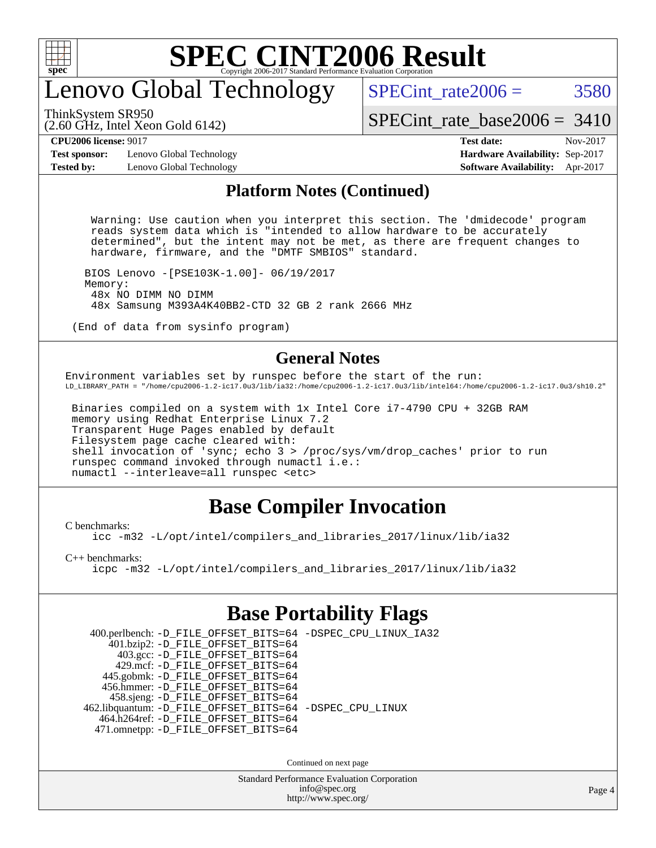

## enovo Global Technology

SPECint rate $2006 = 3580$ 

(2.60 GHz, Intel Xeon Gold 6142) ThinkSystem SR950

[SPECint\\_rate\\_base2006 =](http://www.spec.org/auto/cpu2006/Docs/result-fields.html#SPECintratebase2006) 3410

**[Test sponsor:](http://www.spec.org/auto/cpu2006/Docs/result-fields.html#Testsponsor)** Lenovo Global Technology **[Hardware Availability:](http://www.spec.org/auto/cpu2006/Docs/result-fields.html#HardwareAvailability)** Sep-2017 **[Tested by:](http://www.spec.org/auto/cpu2006/Docs/result-fields.html#Testedby)** Lenovo Global Technology **[Software Availability:](http://www.spec.org/auto/cpu2006/Docs/result-fields.html#SoftwareAvailability)** Apr-2017

**[CPU2006 license:](http://www.spec.org/auto/cpu2006/Docs/result-fields.html#CPU2006license)** 9017 **[Test date:](http://www.spec.org/auto/cpu2006/Docs/result-fields.html#Testdate)** Nov-2017

#### **[Platform Notes \(Continued\)](http://www.spec.org/auto/cpu2006/Docs/result-fields.html#PlatformNotes)**

 Warning: Use caution when you interpret this section. The 'dmidecode' program reads system data which is "intended to allow hardware to be accurately determined", but the intent may not be met, as there are frequent changes to hardware, firmware, and the "DMTF SMBIOS" standard.

 BIOS Lenovo -[PSE103K-1.00]- 06/19/2017 Memory: 48x NO DIMM NO DIMM 48x Samsung M393A4K40BB2-CTD 32 GB 2 rank 2666 MHz

(End of data from sysinfo program)

#### **[General Notes](http://www.spec.org/auto/cpu2006/Docs/result-fields.html#GeneralNotes)**

Environment variables set by runspec before the start of the run: LD\_LIBRARY\_PATH = "/home/cpu2006-1.2-ic17.0u3/lib/ia32:/home/cpu2006-1.2-ic17.0u3/lib/intel64:/home/cpu2006-1.2-ic17.0u3/sh10.2"

 Binaries compiled on a system with 1x Intel Core i7-4790 CPU + 32GB RAM memory using Redhat Enterprise Linux 7.2 Transparent Huge Pages enabled by default Filesystem page cache cleared with: shell invocation of 'sync; echo 3 > /proc/sys/vm/drop\_caches' prior to run runspec command invoked through numactl i.e.: numactl --interleave=all runspec <etc>

### **[Base Compiler Invocation](http://www.spec.org/auto/cpu2006/Docs/result-fields.html#BaseCompilerInvocation)**

[C benchmarks](http://www.spec.org/auto/cpu2006/Docs/result-fields.html#Cbenchmarks):

[icc -m32 -L/opt/intel/compilers\\_and\\_libraries\\_2017/linux/lib/ia32](http://www.spec.org/cpu2006/results/res2017q4/cpu2006-20171114-50716.flags.html#user_CCbase_intel_icc_c29f3ff5a7ed067b11e4ec10a03f03ae)

[C++ benchmarks:](http://www.spec.org/auto/cpu2006/Docs/result-fields.html#CXXbenchmarks)

[icpc -m32 -L/opt/intel/compilers\\_and\\_libraries\\_2017/linux/lib/ia32](http://www.spec.org/cpu2006/results/res2017q4/cpu2006-20171114-50716.flags.html#user_CXXbase_intel_icpc_8c35c7808b62dab9ae41a1aa06361b6b)

### **[Base Portability Flags](http://www.spec.org/auto/cpu2006/Docs/result-fields.html#BasePortabilityFlags)**

 400.perlbench: [-D\\_FILE\\_OFFSET\\_BITS=64](http://www.spec.org/cpu2006/results/res2017q4/cpu2006-20171114-50716.flags.html#user_basePORTABILITY400_perlbench_file_offset_bits_64_438cf9856305ebd76870a2c6dc2689ab) [-DSPEC\\_CPU\\_LINUX\\_IA32](http://www.spec.org/cpu2006/results/res2017q4/cpu2006-20171114-50716.flags.html#b400.perlbench_baseCPORTABILITY_DSPEC_CPU_LINUX_IA32) 401.bzip2: [-D\\_FILE\\_OFFSET\\_BITS=64](http://www.spec.org/cpu2006/results/res2017q4/cpu2006-20171114-50716.flags.html#user_basePORTABILITY401_bzip2_file_offset_bits_64_438cf9856305ebd76870a2c6dc2689ab) 403.gcc: [-D\\_FILE\\_OFFSET\\_BITS=64](http://www.spec.org/cpu2006/results/res2017q4/cpu2006-20171114-50716.flags.html#user_basePORTABILITY403_gcc_file_offset_bits_64_438cf9856305ebd76870a2c6dc2689ab) 429.mcf: [-D\\_FILE\\_OFFSET\\_BITS=64](http://www.spec.org/cpu2006/results/res2017q4/cpu2006-20171114-50716.flags.html#user_basePORTABILITY429_mcf_file_offset_bits_64_438cf9856305ebd76870a2c6dc2689ab) 445.gobmk: [-D\\_FILE\\_OFFSET\\_BITS=64](http://www.spec.org/cpu2006/results/res2017q4/cpu2006-20171114-50716.flags.html#user_basePORTABILITY445_gobmk_file_offset_bits_64_438cf9856305ebd76870a2c6dc2689ab) 456.hmmer: [-D\\_FILE\\_OFFSET\\_BITS=64](http://www.spec.org/cpu2006/results/res2017q4/cpu2006-20171114-50716.flags.html#user_basePORTABILITY456_hmmer_file_offset_bits_64_438cf9856305ebd76870a2c6dc2689ab) 458.sjeng: [-D\\_FILE\\_OFFSET\\_BITS=64](http://www.spec.org/cpu2006/results/res2017q4/cpu2006-20171114-50716.flags.html#user_basePORTABILITY458_sjeng_file_offset_bits_64_438cf9856305ebd76870a2c6dc2689ab) 462.libquantum: [-D\\_FILE\\_OFFSET\\_BITS=64](http://www.spec.org/cpu2006/results/res2017q4/cpu2006-20171114-50716.flags.html#user_basePORTABILITY462_libquantum_file_offset_bits_64_438cf9856305ebd76870a2c6dc2689ab) [-DSPEC\\_CPU\\_LINUX](http://www.spec.org/cpu2006/results/res2017q4/cpu2006-20171114-50716.flags.html#b462.libquantum_baseCPORTABILITY_DSPEC_CPU_LINUX) 464.h264ref: [-D\\_FILE\\_OFFSET\\_BITS=64](http://www.spec.org/cpu2006/results/res2017q4/cpu2006-20171114-50716.flags.html#user_basePORTABILITY464_h264ref_file_offset_bits_64_438cf9856305ebd76870a2c6dc2689ab) 471.omnetpp: [-D\\_FILE\\_OFFSET\\_BITS=64](http://www.spec.org/cpu2006/results/res2017q4/cpu2006-20171114-50716.flags.html#user_basePORTABILITY471_omnetpp_file_offset_bits_64_438cf9856305ebd76870a2c6dc2689ab)

Continued on next page

Standard Performance Evaluation Corporation [info@spec.org](mailto:info@spec.org) <http://www.spec.org/>

Page 4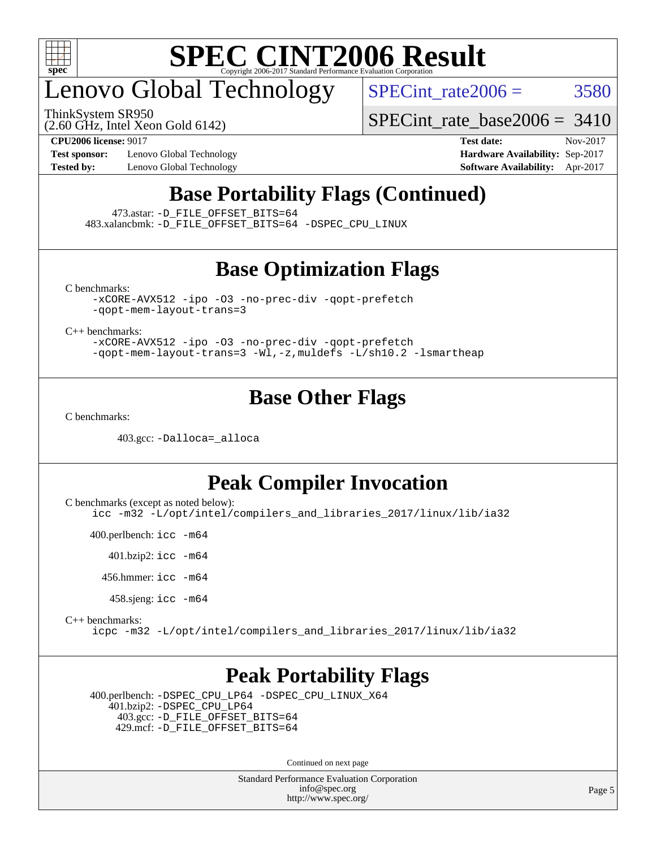

## enovo Global Technology

ThinkSystem SR950

SPECint rate $2006 = 3580$ 

(2.60 GHz, Intel Xeon Gold 6142)

**[Test sponsor:](http://www.spec.org/auto/cpu2006/Docs/result-fields.html#Testsponsor)** Lenovo Global Technology **[Hardware Availability:](http://www.spec.org/auto/cpu2006/Docs/result-fields.html#HardwareAvailability)** Sep-2017 **[Tested by:](http://www.spec.org/auto/cpu2006/Docs/result-fields.html#Testedby)** Lenovo Global Technology **[Software Availability:](http://www.spec.org/auto/cpu2006/Docs/result-fields.html#SoftwareAvailability)** Apr-2017

[SPECint\\_rate\\_base2006 =](http://www.spec.org/auto/cpu2006/Docs/result-fields.html#SPECintratebase2006) 3410 **[CPU2006 license:](http://www.spec.org/auto/cpu2006/Docs/result-fields.html#CPU2006license)** 9017 **[Test date:](http://www.spec.org/auto/cpu2006/Docs/result-fields.html#Testdate)** Nov-2017

# **[Base Portability Flags \(Continued\)](http://www.spec.org/auto/cpu2006/Docs/result-fields.html#BasePortabilityFlags)**

473.astar: [-D\\_FILE\\_OFFSET\\_BITS=64](http://www.spec.org/cpu2006/results/res2017q4/cpu2006-20171114-50716.flags.html#user_basePORTABILITY473_astar_file_offset_bits_64_438cf9856305ebd76870a2c6dc2689ab)

483.xalancbmk: [-D\\_FILE\\_OFFSET\\_BITS=64](http://www.spec.org/cpu2006/results/res2017q4/cpu2006-20171114-50716.flags.html#user_basePORTABILITY483_xalancbmk_file_offset_bits_64_438cf9856305ebd76870a2c6dc2689ab) [-DSPEC\\_CPU\\_LINUX](http://www.spec.org/cpu2006/results/res2017q4/cpu2006-20171114-50716.flags.html#b483.xalancbmk_baseCXXPORTABILITY_DSPEC_CPU_LINUX)

#### **[Base Optimization Flags](http://www.spec.org/auto/cpu2006/Docs/result-fields.html#BaseOptimizationFlags)**

[C benchmarks](http://www.spec.org/auto/cpu2006/Docs/result-fields.html#Cbenchmarks):

[-xCORE-AVX512](http://www.spec.org/cpu2006/results/res2017q4/cpu2006-20171114-50716.flags.html#user_CCbase_f-xCORE-AVX512) [-ipo](http://www.spec.org/cpu2006/results/res2017q4/cpu2006-20171114-50716.flags.html#user_CCbase_f-ipo) [-O3](http://www.spec.org/cpu2006/results/res2017q4/cpu2006-20171114-50716.flags.html#user_CCbase_f-O3) [-no-prec-div](http://www.spec.org/cpu2006/results/res2017q4/cpu2006-20171114-50716.flags.html#user_CCbase_f-no-prec-div) [-qopt-prefetch](http://www.spec.org/cpu2006/results/res2017q4/cpu2006-20171114-50716.flags.html#user_CCbase_f-qopt-prefetch) [-qopt-mem-layout-trans=3](http://www.spec.org/cpu2006/results/res2017q4/cpu2006-20171114-50716.flags.html#user_CCbase_f-qopt-mem-layout-trans_170f5be61cd2cedc9b54468c59262d5d)

[C++ benchmarks:](http://www.spec.org/auto/cpu2006/Docs/result-fields.html#CXXbenchmarks)

[-xCORE-AVX512](http://www.spec.org/cpu2006/results/res2017q4/cpu2006-20171114-50716.flags.html#user_CXXbase_f-xCORE-AVX512) [-ipo](http://www.spec.org/cpu2006/results/res2017q4/cpu2006-20171114-50716.flags.html#user_CXXbase_f-ipo) [-O3](http://www.spec.org/cpu2006/results/res2017q4/cpu2006-20171114-50716.flags.html#user_CXXbase_f-O3) [-no-prec-div](http://www.spec.org/cpu2006/results/res2017q4/cpu2006-20171114-50716.flags.html#user_CXXbase_f-no-prec-div) [-qopt-prefetch](http://www.spec.org/cpu2006/results/res2017q4/cpu2006-20171114-50716.flags.html#user_CXXbase_f-qopt-prefetch) [-qopt-mem-layout-trans=3](http://www.spec.org/cpu2006/results/res2017q4/cpu2006-20171114-50716.flags.html#user_CXXbase_f-qopt-mem-layout-trans_170f5be61cd2cedc9b54468c59262d5d) [-Wl,-z,muldefs](http://www.spec.org/cpu2006/results/res2017q4/cpu2006-20171114-50716.flags.html#user_CXXbase_link_force_multiple1_74079c344b956b9658436fd1b6dd3a8a) [-L/sh10.2 -lsmartheap](http://www.spec.org/cpu2006/results/res2017q4/cpu2006-20171114-50716.flags.html#user_CXXbase_SmartHeap_b831f2d313e2fffa6dfe3f00ffc1f1c0)

#### **[Base Other Flags](http://www.spec.org/auto/cpu2006/Docs/result-fields.html#BaseOtherFlags)**

[C benchmarks](http://www.spec.org/auto/cpu2006/Docs/result-fields.html#Cbenchmarks):

403.gcc: [-Dalloca=\\_alloca](http://www.spec.org/cpu2006/results/res2017q4/cpu2006-20171114-50716.flags.html#b403.gcc_baseEXTRA_CFLAGS_Dalloca_be3056838c12de2578596ca5467af7f3)

#### **[Peak Compiler Invocation](http://www.spec.org/auto/cpu2006/Docs/result-fields.html#PeakCompilerInvocation)**

[C benchmarks \(except as noted below\)](http://www.spec.org/auto/cpu2006/Docs/result-fields.html#Cbenchmarksexceptasnotedbelow):

[icc -m32 -L/opt/intel/compilers\\_and\\_libraries\\_2017/linux/lib/ia32](http://www.spec.org/cpu2006/results/res2017q4/cpu2006-20171114-50716.flags.html#user_CCpeak_intel_icc_c29f3ff5a7ed067b11e4ec10a03f03ae)

400.perlbench: [icc -m64](http://www.spec.org/cpu2006/results/res2017q4/cpu2006-20171114-50716.flags.html#user_peakCCLD400_perlbench_intel_icc_64bit_bda6cc9af1fdbb0edc3795bac97ada53)

401.bzip2: [icc -m64](http://www.spec.org/cpu2006/results/res2017q4/cpu2006-20171114-50716.flags.html#user_peakCCLD401_bzip2_intel_icc_64bit_bda6cc9af1fdbb0edc3795bac97ada53)

456.hmmer: [icc -m64](http://www.spec.org/cpu2006/results/res2017q4/cpu2006-20171114-50716.flags.html#user_peakCCLD456_hmmer_intel_icc_64bit_bda6cc9af1fdbb0edc3795bac97ada53)

458.sjeng: [icc -m64](http://www.spec.org/cpu2006/results/res2017q4/cpu2006-20171114-50716.flags.html#user_peakCCLD458_sjeng_intel_icc_64bit_bda6cc9af1fdbb0edc3795bac97ada53)

[C++ benchmarks:](http://www.spec.org/auto/cpu2006/Docs/result-fields.html#CXXbenchmarks)

[icpc -m32 -L/opt/intel/compilers\\_and\\_libraries\\_2017/linux/lib/ia32](http://www.spec.org/cpu2006/results/res2017q4/cpu2006-20171114-50716.flags.html#user_CXXpeak_intel_icpc_8c35c7808b62dab9ae41a1aa06361b6b)

#### **[Peak Portability Flags](http://www.spec.org/auto/cpu2006/Docs/result-fields.html#PeakPortabilityFlags)**

 400.perlbench: [-DSPEC\\_CPU\\_LP64](http://www.spec.org/cpu2006/results/res2017q4/cpu2006-20171114-50716.flags.html#b400.perlbench_peakCPORTABILITY_DSPEC_CPU_LP64) [-DSPEC\\_CPU\\_LINUX\\_X64](http://www.spec.org/cpu2006/results/res2017q4/cpu2006-20171114-50716.flags.html#b400.perlbench_peakCPORTABILITY_DSPEC_CPU_LINUX_X64) 401.bzip2: [-DSPEC\\_CPU\\_LP64](http://www.spec.org/cpu2006/results/res2017q4/cpu2006-20171114-50716.flags.html#suite_peakCPORTABILITY401_bzip2_DSPEC_CPU_LP64) 403.gcc: [-D\\_FILE\\_OFFSET\\_BITS=64](http://www.spec.org/cpu2006/results/res2017q4/cpu2006-20171114-50716.flags.html#user_peakPORTABILITY403_gcc_file_offset_bits_64_438cf9856305ebd76870a2c6dc2689ab) 429.mcf: [-D\\_FILE\\_OFFSET\\_BITS=64](http://www.spec.org/cpu2006/results/res2017q4/cpu2006-20171114-50716.flags.html#user_peakPORTABILITY429_mcf_file_offset_bits_64_438cf9856305ebd76870a2c6dc2689ab)

Continued on next page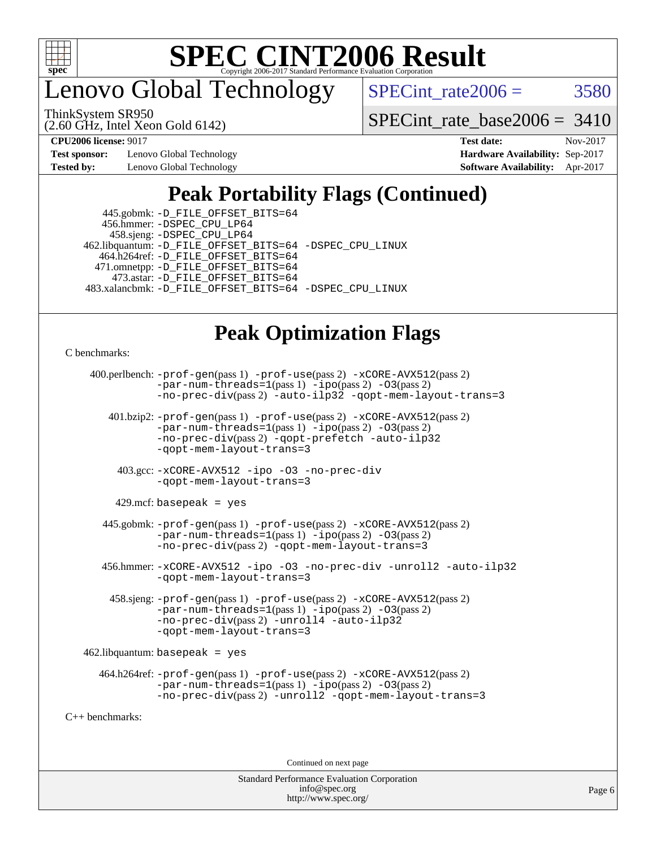

enovo Global Technology

SPECint rate $2006 = 3580$ 

(2.60 GHz, Intel Xeon Gold 6142) ThinkSystem SR950

[SPECint\\_rate\\_base2006 =](http://www.spec.org/auto/cpu2006/Docs/result-fields.html#SPECintratebase2006) 3410

**[Test sponsor:](http://www.spec.org/auto/cpu2006/Docs/result-fields.html#Testsponsor)** Lenovo Global Technology **[Hardware Availability:](http://www.spec.org/auto/cpu2006/Docs/result-fields.html#HardwareAvailability)** Sep-2017 **[Tested by:](http://www.spec.org/auto/cpu2006/Docs/result-fields.html#Testedby)** Lenovo Global Technology **[Software Availability:](http://www.spec.org/auto/cpu2006/Docs/result-fields.html#SoftwareAvailability)** Apr-2017

**[CPU2006 license:](http://www.spec.org/auto/cpu2006/Docs/result-fields.html#CPU2006license)** 9017 **[Test date:](http://www.spec.org/auto/cpu2006/Docs/result-fields.html#Testdate)** Nov-2017

### **[Peak Portability Flags \(Continued\)](http://www.spec.org/auto/cpu2006/Docs/result-fields.html#PeakPortabilityFlags)**

| 445.gobmk: -D_FILE_OFFSET_BITS=64                       |  |
|---------------------------------------------------------|--|
| 456.hmmer: - DSPEC CPU LP64                             |  |
| 458.sjeng: -DSPEC_CPU_LP64                              |  |
| 462.libquantum: -D_FILE_OFFSET_BITS=64 -DSPEC_CPU_LINUX |  |
| 464.h264ref: -D FILE OFFSET BITS=64                     |  |
| 471.omnetpp: -D_FILE_OFFSET_BITS=64                     |  |
| 473.astar: -D_FILE_OFFSET_BITS=64                       |  |
| 483.xalancbmk: -D FILE OFFSET BITS=64 -DSPEC CPU LINUX  |  |
|                                                         |  |

## **[Peak Optimization Flags](http://www.spec.org/auto/cpu2006/Docs/result-fields.html#PeakOptimizationFlags)**

[C benchmarks](http://www.spec.org/auto/cpu2006/Docs/result-fields.html#Cbenchmarks):

```
 400.perlbench: -prof-gen(pass 1) -prof-use(pass 2) -xCORE-AVX512(pass 2)
                -par-num-threads=1(pass 1) -ipo(pass 2) -O3(pass 2)
                -no-prec-div(pass 2) -auto-ilp32 -qopt-mem-layout-trans=3
        401.bzip2: -prof-gen(pass 1) -prof-use(pass 2) -xCORE-AVX512(pass 2)
                -par-num-threads=1(pass 1) -ipo(pass 2) -O3(pass 2)
                -no-prec-div(pass 2) -qopt-prefetch -auto-ilp32
                -qopt-mem-layout-trans=3
          403.gcc: -xCORE-AVX512 -ipo -O3 -no-prec-div
                -qopt-mem-layout-trans=3
        429.mcf: basepeak = yes
       445.gobmk: -prof-gen(pass 1) -prof-use(pass 2) -xCORE-AVX512(pass 2)
                -par-num-threads=1(pass 1) -ipo(pass 2) -O3(pass 2)
                -no-prec-div(pass 2) -qopt-mem-layout-trans=3
       456.hmmer: -xCORE-AVX512 -ipo -O3 -no-prec-div -unroll2 -auto-ilp32
                -qopt-mem-layout-trans=3
        458.sjeng: -prof-gen(pass 1) -prof-use(pass 2) -xCORE-AVX512(pass 2)
                -par-num-threads=1(pass 1) -ipo(pass 2) -O3(pass 2)
                -no-prec-div(pass 2) -unroll4 -auto-ilp32
                -qopt-mem-layout-trans=3
    462.libquantum: basepeak = yes
      464.h264ref: -prof-gen(pass 1) -prof-use(pass 2) -xCORE-AVX512(pass 2)
                -par-num-threads=1(pass 1) -ipo(pass 2) -O3(pass 2)
                -no-prec-div(pass 2) -unroll2 -qopt-mem-layout-trans=3
C++ benchmarks:
```
Continued on next page